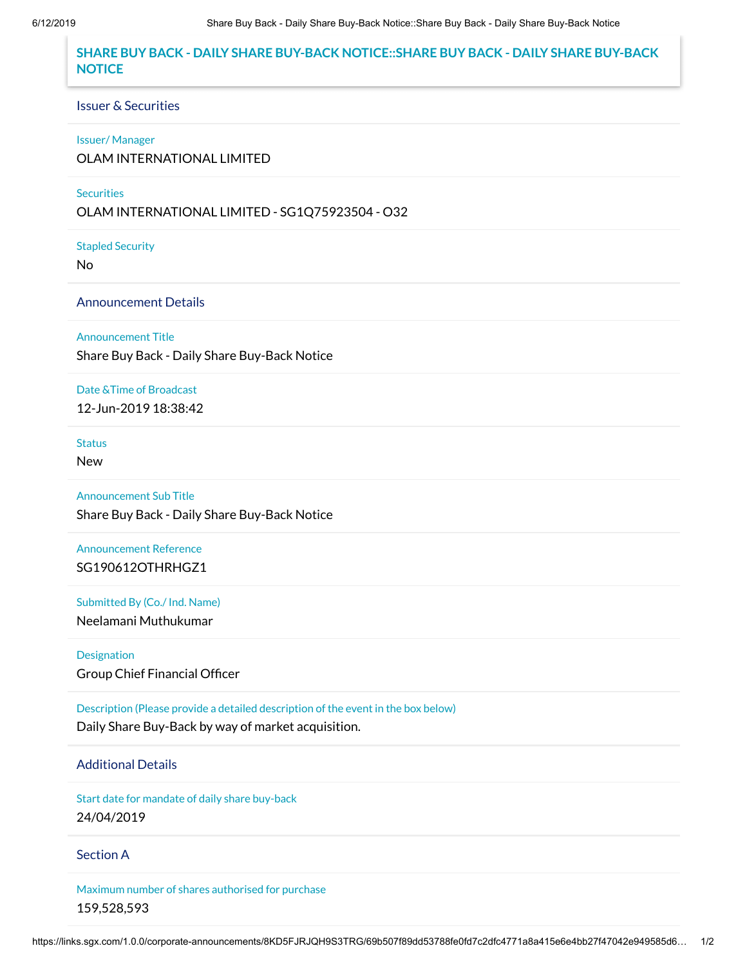# **SHARE BUY BACK - DAILY SHARE BUY-BACK NOTICE::SHARE BUY BACK - DAILY SHARE BUY-BACK NOTICE**

#### Issuer & Securities

#### Issuer/ Manager

OLAM INTERNATIONAL LIMITED

### **Securities**

OLAM INTERNATIONAL LIMITED - SG1Q75923504 - O32

Stapled Security

No

## Announcement Details

Announcement Title

Share Buy Back - Daily Share Buy-Back Notice

### Date &Time of Broadcast

12-Jun-2019 18:38:42

# **Status**

New

Announcement Sub Title

Share Buy Back - Daily Share Buy-Back Notice

Announcement Reference SG190612OTHRHGZ1

Submitted By (Co./ Ind. Name) Neelamani Muthukumar

Designation Group Chief Financial Officer

Description (Please provide a detailed description of the event in the box below) Daily Share Buy-Back by way of market acquisition.

## Additional Details

Start date for mandate of daily share buy-back 24/04/2019

### Section A

Maximum number of shares authorised for purchase 159,528,593